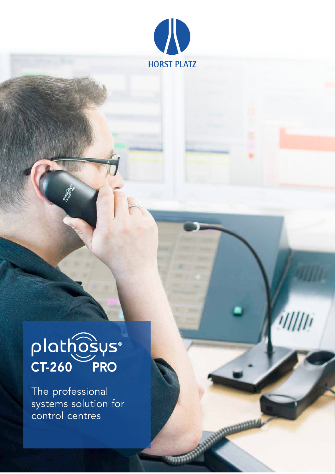

 $111111$ 

# plathosys®

The professional systems solution for control centres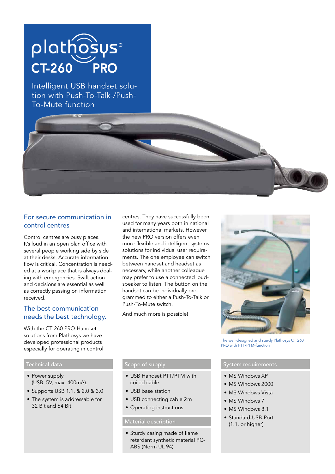### plathosys® **CT-260 PRO**

Intelligent USB handset solution with Push-To-Talk-/Push-To-Mute function

### For secure communication in control centres

Control centres are busy places. It's loud in an open plan office with several people working side by side at their desks. Accurate information flow is critical. Concentration is needed at a workplace that is always dealing with emergencies. Swift action and decisions are essential as well as correctly passing on information received.

### The best communication needs the best technology.

With the CT 260 PRO-Handset solutions from Plathosys we have developed professional products especially for operating in control

- Power supply (USB: 5V, max. 400mA).
- Supports USB 1.1. & 2.0 & 3.0
- The system is addressable for 32 Bit and 64 Bit

centres. They have successfully been used for many years both in national and international markets. However the new PRO version offers even more flexible and intelligent systems solutions for individual user requirements. The one employee can switch between handset and headset as necessary, while another colleague may prefer to use a connected loudspeaker to listen. The button on the handset can be individually programmed to either a Push-To-Talk or Push-To-Mute switch.

And much more is possible!



The well-designed and sturdy Plathosys CT 260 PRO with PTT/PTM-function

### Technical data Scope of supply System requirements

- MS Windows XP
- MS Windows 2000
- MS Windows Vista
	- MS Windows 7
	- MS Windows 8.1
	- Standard-USB-Port (1.1. or higher)

- USB Handset PTT/PTM with coiled cable
- USB base station
- USB connecting cable 2m
- Operating instructions

### Material description

• Sturdy casing made of flame retardant synthetic material PC-ABS (Norm UL 94)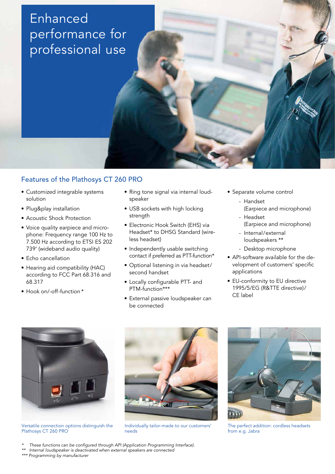### **Enhanced** performance for professional use

### Features of the Plathosys CT 260 PRO

- Customized integrable systems solution
- Plug&play installation
- Acoustic Shock Protection
- Voice quality earpiece and microphone: Frequency range 100 Hz to 7.500 Hz according to ETSI ES 202 739' (wideband audio quality)
- Echo cancellation
- Hearing aid compatibility (HAC) according to FCC Part 68.316 and 68.317
- Hook on/-off-function \*
- Ring tone signal via internal loudspeaker
- USB sockets with high locking strength
- Electronic Hook Switch (EHS) via Headset\* to DHSG Standard (wireless headset)
- Independently usable switching contact if preferred as PTT-function\*
- Optional listening in via headset/ second handset
- Locally configurable PTT- and PTM-function\*\*\*
- External passive loudspeaker can be connected
- Separate volume control
	- Handset (Earpiece and microphone)
	- Headset (Earpiece and microphone)
	- Internal/external loudspeakers \*\*
	- Desktop microphone
- API-software available for the development of customers' specific applications
- EU-conformity to EU directive 1995/5/EG (R&TTE directive)/ CE label



Versatile connection options distinguish the Plathosys CT 260 PRO



Individually tailor-made to our customers' needs



The perfect addition: cordless headsets from e.g. Jabra

- These functions can be configured through API (Application Programming Interface).
- \*\* Internal loudspeaker is deactivated when external speakers are connected

\*\*\* Programming by manufacturer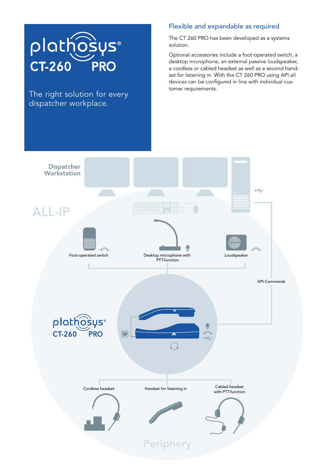

The right solution for every dispatcher workplace.

### Flexible and expandable as required

The CT 260 PRO has been developed as a systems solution.

Optional accessories include a foot-operated switch, a desktop microphone, an external passive loudspeaker, a cordless or cabled headset as well as a second handset for listening in. With the CT 260 PRO using API all devices can be configured in line with individual customer requirements.

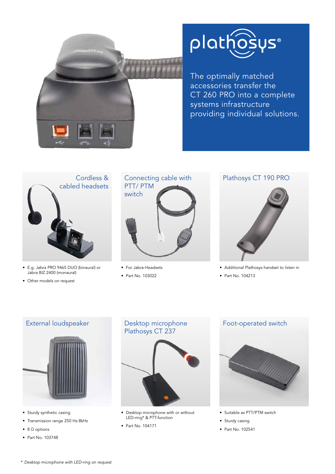

## plathosys®

The optimally matched accessories transfer the CT 260 PRO into a complete systems infrastructure providing individual solutions.



- E.g. Jabra PRO 9465 DUO (binaural) or Jabra BIZ 2400 (monaural)
- Other models on request



- For Jabra-Headsets
- Part No. 103022

### Plathosys CT 190 PRO



- Additional Plathosys handset to listen in
- Part No. 104213



- Sturdy synthetic casing
- Transmission range 250 Hz-8kHz
- 8 Ω options
- Part No. 103748



- Desktop microphone with or without LED-ring\* & PTT-function
- Part No. 104171



- Suitable as PTT/PTM switch
- Sturdy casing
- Part No. 102541